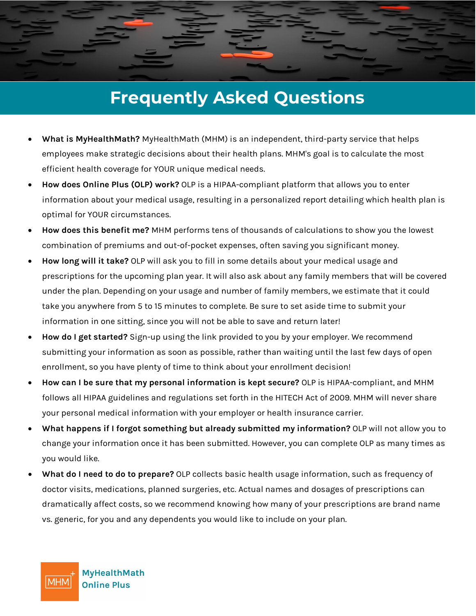## **Frequently Asked Questions**

- **What is MyHealthMath?** MyHealthMath (MHM) is an independent, third-party service that helps employees make strategic decisions about their health plans. MHM's goal is to calculate the most efficient health coverage for YOUR unique medical needs.
- **How does Online Plus (OLP) work?** OLP is a HIPAA-compliant platform that allows you to enter information about your medical usage, resulting in a personalized report detailing which health plan is optimal for YOUR circumstances.
- **How does this benefit me?** MHM performs tens of thousands of calculations to show you the lowest combination of premiums and out-of-pocket expenses, often saving you significant money.
- **How long will it take?** OLP will ask you to fill in some details about your medical usage and prescriptions for the upcoming plan year. It will also ask about any family members that will be covered under the plan. Depending on your usage and number of family members, we estimate that it could take you anywhere from 5 to 15 minutes to complete. Be sure to set aside time to submit your information in one sitting, since you will not be able to save and return later!
- **How do I get started?** Sign-up using the link provided to you by your employer. We recommend submitting your information as soon as possible, rather than waiting until the last few days of open enrollment, so you have plenty of time to think about your enrollment decision!
- **How can I be sure that my personal information is kept secure?** OLP is HIPAA-compliant, and MHM follows all HIPAA guidelines and regulations set forth in the HITECH Act of 2009. MHM will never share your personal medical information with your employer or health insurance carrier.
- **What happens if I forgot something but already submitted my information?** OLP will not allow you to change your information once it has been submitted. However, you can complete OLP as many times as you would like.
- **What do I need to do to prepare?** OLP collects basic health usage information, such as frequency of doctor visits, medications, planned surgeries, etc. Actual names and dosages of prescriptions can dramatically affect costs, so we recommend knowing how many of your prescriptions are brand name vs. generic, for you and any dependents you would like to include on your plan.

**MyHealthMath Online Plus** 

|MHM